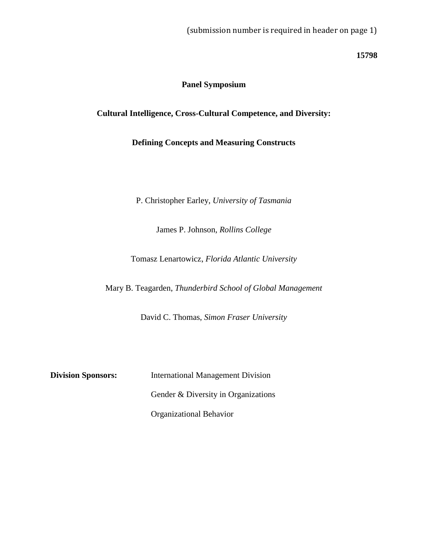**15798**

# **Panel Symposium**

**Cultural Intelligence, Cross-Cultural Competence, and Diversity:**

**Defining Concepts and Measuring Constructs** 

P. Christopher Earley, *University of Tasmania*

James P. Johnson, *Rollins College*

Tomasz Lenartowicz, *Florida Atlantic University*

Mary B. Teagarden, *Thunderbird School of Global Management*

David C. Thomas, *Simon Fraser University*

**Division Sponsors:** International Management Division Gender & Diversity in Organizations Organizational Behavior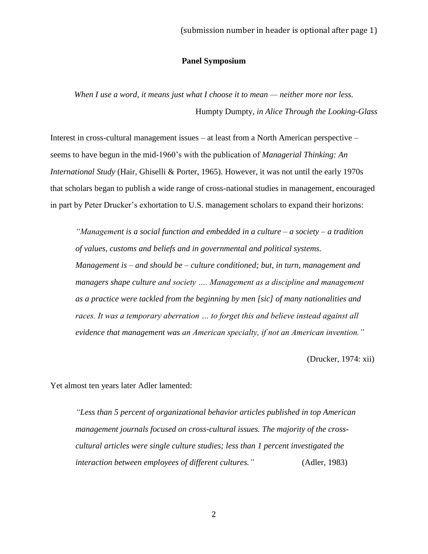# **Panel Symposium**

*When I use a word, it means just what I choose it to mean — neither more nor less.* Humpty Dumpty*, in Alice Through the Looking-Glass*

Interest in cross-cultural management issues – at least from a North American perspective – seems to have begun in the mid-1960's with the publication of *Managerial Thinking: An International Study* (Hair, Ghiselli & Porter, 1965). However, it was not until the early 1970s that scholars began to publish a wide range of cross-national studies in management, encouraged in part by Peter Drucker's exhortation to U.S. management scholars to expand their horizons:

*"Management is a social function and embedded in a culture – a society – a tradition of values, customs and beliefs and in governmental and political systems. Management is – and should be – culture conditioned; but, in turn, management and managers shape culture and society …. Management as a discipline and management as a practice were tackled from the beginning by men [sic] of many nationalities and races. It was a temporary aberration … to forget this and believe instead against all evidence that management was an American specialty, if not an American invention."*

(Drucker, 1974: xii)

Yet almost ten years later Adler lamented:

*"Less than 5 percent of organizational behavior articles published in top American management journals focused on cross-cultural issues. The majority of the crosscultural articles were single culture studies; less than 1 percent investigated the interaction between employees of different cultures."* (Adler, 1983)

2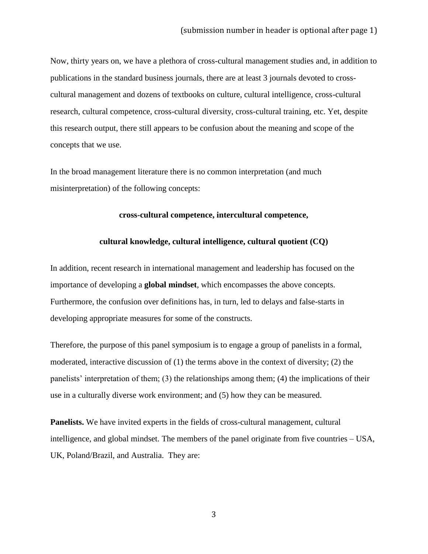Now, thirty years on, we have a plethora of cross-cultural management studies and, in addition to publications in the standard business journals, there are at least 3 journals devoted to crosscultural management and dozens of textbooks on culture, cultural intelligence, cross-cultural research, cultural competence, cross-cultural diversity, cross-cultural training, etc. Yet, despite this research output, there still appears to be confusion about the meaning and scope of the concepts that we use.

In the broad management literature there is no common interpretation (and much misinterpretation) of the following concepts:

## **cross-cultural competence, intercultural competence,**

## **cultural knowledge, cultural intelligence, cultural quotient (CQ)**

In addition, recent research in international management and leadership has focused on the importance of developing a **global mindset**, which encompasses the above concepts. Furthermore, the confusion over definitions has, in turn, led to delays and false-starts in developing appropriate measures for some of the constructs.

Therefore, the purpose of this panel symposium is to engage a group of panelists in a formal, moderated, interactive discussion of  $(1)$  the terms above in the context of diversity;  $(2)$  the panelists' interpretation of them; (3) the relationships among them; (4) the implications of their use in a culturally diverse work environment; and (5) how they can be measured.

**Panelists.** We have invited experts in the fields of cross-cultural management, cultural intelligence, and global mindset. The members of the panel originate from five countries – USA, UK, Poland/Brazil, and Australia. They are: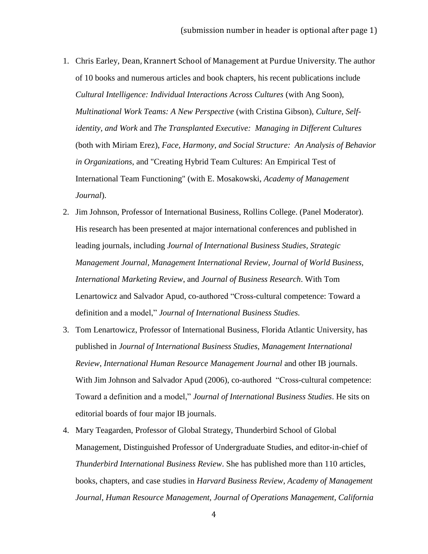- 1. Chris Earley, Dean, Krannert School of Management at Purdue University. The author of 10 books and numerous articles and book chapters, his recent publications include *Cultural Intelligence: Individual Interactions Across Cultures* (with Ang Soon), *Multinational Work Teams: A New Perspective* (with Cristina Gibson), *Culture, Selfidentity, and Work* and *The Transplanted Executive: Managing in Different Cultures* (both with Miriam Erez), *Face, Harmony, and Social Structure: An Analysis of Behavior in Organizations*, and "Creating Hybrid Team Cultures: An Empirical Test of International Team Functioning" (with E. Mosakowski, *Academy of Management Journal*).
- 2. Jim Johnson, Professor of International Business, Rollins College. (Panel Moderator). His research has been presented at major international conferences and published in leading journals, including *Journal of International Business Studies, Strategic Management Journal, Management International Review, Journal of World Business, International Marketing Review*, and *Journal of Business Research*. With Tom Lenartowicz and Salvador Apud, co-authored "Cross-cultural competence: Toward a definition and a model," *Journal of International Business Studies.*
- 3. Tom Lenartowicz, Professor of International Business, Florida Atlantic University, has published in *Journal of International Business Studies, Management International Review*, *International Human Resource Management Journal* and other IB journals. With Jim Johnson and Salvador Apud (2006), co-authored "Cross-cultural competence: Toward a definition and a model," *Journal of International Business Studies*. He sits on editorial boards of four major IB journals.
- 4. Mary Teagarden, Professor of Global Strategy, Thunderbird School of Global Management, Distinguished Professor of Undergraduate Studies, and editor-in-chief of *Thunderbird International Business Review*. She has published more than 110 articles, books, chapters, and case studies in *Harvard Business Review*, *Academy of Management Journal*, *Human Resource Management, Journal of Operations Management, California*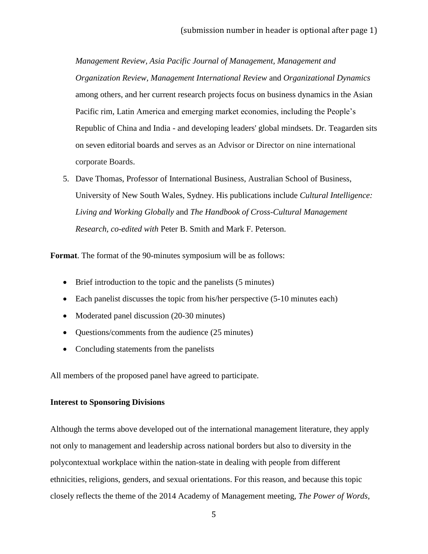*Management Review, Asia Pacific Journal of Management, Management and Organization Review, Management International Review* and *Organizational Dynamics*  among others, and her current research projects focus on business dynamics in the Asian Pacific rim, Latin America and emerging market economies, including the People's Republic of China and India - and developing leaders' global mindsets. Dr. Teagarden sits on seven editorial boards and serves as an Advisor or Director on nine international corporate Boards.

5. Dave Thomas, Professor of International Business, Australian School of Business, University of New South Wales, Sydney. His publications include *Cultural Intelligence: Living and Working Globally* and *The Handbook of Cross-Cultural Management Research, co-edited with* Peter B. Smith and Mark F. Peterson.

**Format**. The format of the 90-minutes symposium will be as follows:

- Brief introduction to the topic and the panelists (5 minutes)
- Each panelist discusses the topic from his/her perspective (5-10 minutes each)
- Moderated panel discussion (20-30 minutes)
- Questions/comments from the audience (25 minutes)
- Concluding statements from the panelists

All members of the proposed panel have agreed to participate.

# **Interest to Sponsoring Divisions**

Although the terms above developed out of the international management literature, they apply not only to management and leadership across national borders but also to diversity in the polycontextual workplace within the nation-state in dealing with people from different ethnicities, religions, genders, and sexual orientations. For this reason, and because this topic closely reflects the theme of the 2014 Academy of Management meeting, *The Power of Words,*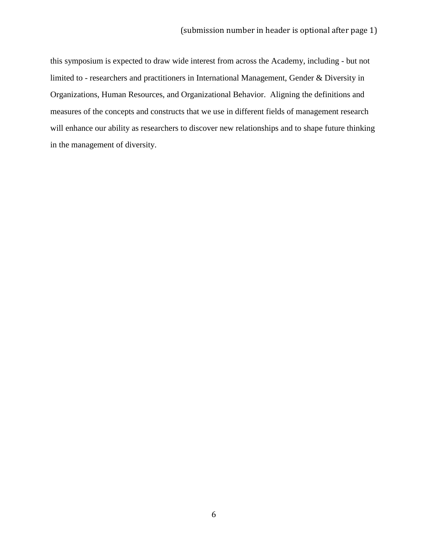this symposium is expected to draw wide interest from across the Academy, including - but not limited to - researchers and practitioners in International Management, Gender & Diversity in Organizations, Human Resources, and Organizational Behavior. Aligning the definitions and measures of the concepts and constructs that we use in different fields of management research will enhance our ability as researchers to discover new relationships and to shape future thinking in the management of diversity.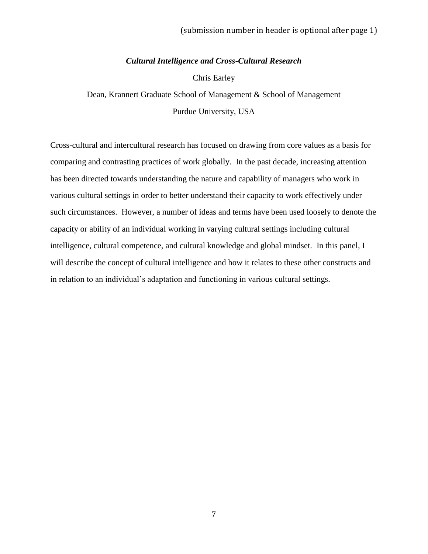## *Cultural Intelligence and Cross-Cultural Research*

Chris Earley

Dean, Krannert Graduate School of Management & School of Management Purdue University, USA

Cross-cultural and intercultural research has focused on drawing from core values as a basis for comparing and contrasting practices of work globally. In the past decade, increasing attention has been directed towards understanding the nature and capability of managers who work in various cultural settings in order to better understand their capacity to work effectively under such circumstances. However, a number of ideas and terms have been used loosely to denote the capacity or ability of an individual working in varying cultural settings including cultural intelligence, cultural competence, and cultural knowledge and global mindset. In this panel, I will describe the concept of cultural intelligence and how it relates to these other constructs and in relation to an individual's adaptation and functioning in various cultural settings.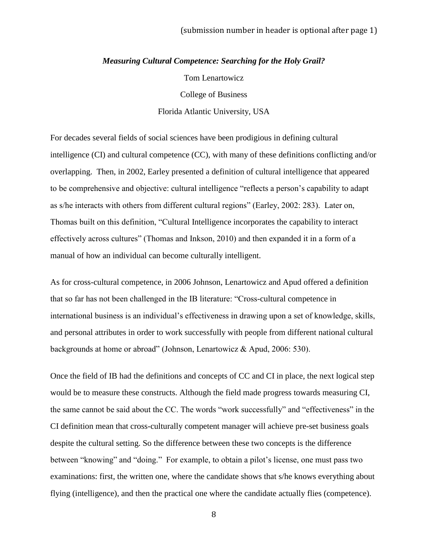#### *Measuring Cultural Competence: Searching for the Holy Grail?*

Tom Lenartowicz College of Business Florida Atlantic University, USA

For decades several fields of social sciences have been prodigious in defining cultural intelligence (CI) and cultural competence (CC), with many of these definitions conflicting and/or overlapping. Then, in 2002, Earley presented a definition of cultural intelligence that appeared to be comprehensive and objective: cultural intelligence "reflects a person's capability to adapt as s/he interacts with others from different cultural regions" (Earley, 2002: 283). Later on, Thomas built on this definition, "Cultural Intelligence incorporates the capability to interact effectively across cultures" (Thomas and Inkson, 2010) and then expanded it in a form of a manual of how an individual can become culturally intelligent.

As for cross-cultural competence, in 2006 Johnson, Lenartowicz and Apud offered a definition that so far has not been challenged in the IB literature: "Cross-cultural competence in international business is an individual's effectiveness in drawing upon a set of knowledge, skills, and personal attributes in order to work successfully with people from different national cultural backgrounds at home or abroad" (Johnson, Lenartowicz & Apud, 2006: 530).

Once the field of IB had the definitions and concepts of CC and CI in place, the next logical step would be to measure these constructs. Although the field made progress towards measuring CI, the same cannot be said about the CC. The words "work successfully" and "effectiveness" in the CI definition mean that cross-culturally competent manager will achieve pre-set business goals despite the cultural setting. So the difference between these two concepts is the difference between "knowing" and "doing." For example, to obtain a pilot's license, one must pass two examinations: first, the written one, where the candidate shows that s/he knows everything about flying (intelligence), and then the practical one where the candidate actually flies (competence).

8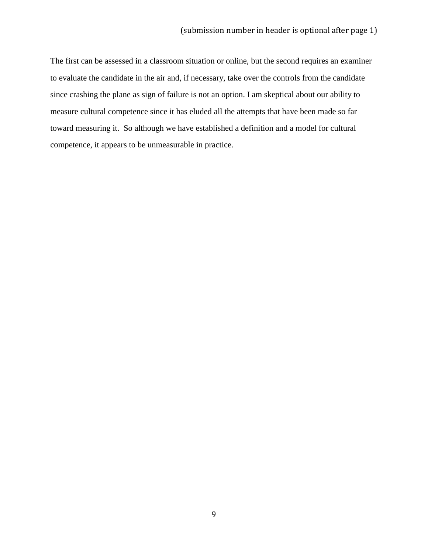The first can be assessed in a classroom situation or online, but the second requires an examiner to evaluate the candidate in the air and, if necessary, take over the controls from the candidate since crashing the plane as sign of failure is not an option. I am skeptical about our ability to measure cultural competence since it has eluded all the attempts that have been made so far toward measuring it. So although we have established a definition and a model for cultural competence, it appears to be unmeasurable in practice.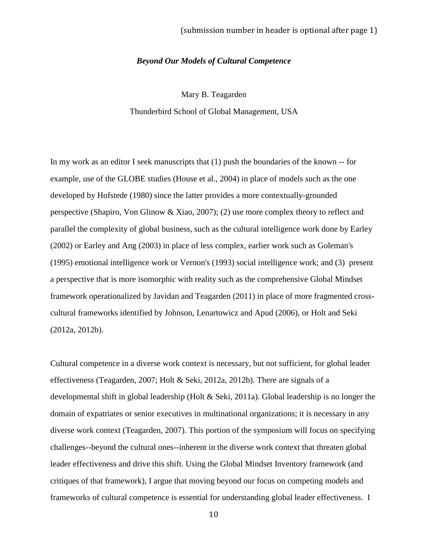#### *Beyond Our Models of Cultural Competence*

Mary B. Teagarden

Thunderbird School of Global Management, USA

In my work as an editor I seek manuscripts that (1) push the boundaries of the known -- for example, use of the GLOBE studies (House et al., 2004) in place of models such as the one developed by Hofstede (1980) since the latter provides a more contextually-grounded perspective (Shapiro, Von Glinow & Xiao, 2007); (2) use more complex theory to reflect and parallel the complexity of global business, such as the cultural intelligence work done by Earley (2002) or Earley and Ang (2003) in place of less complex, earlier work such as Goleman's (1995) emotional intelligence work or Vernon's (1993) social intelligence work; and (3) present a perspective that is more isomorphic with reality such as the comprehensive Global Mindset framework operationalized by Javidan and Teagarden (2011) in place of more fragmented crosscultural frameworks identified by Johnson, Lenartowicz and Apud (2006), or Holt and Seki (2012a, 2012b).

Cultural competence in a diverse work context is necessary, but not sufficient, for global leader effectiveness (Teagarden, 2007; Holt & Seki, 2012a, 2012b). There are signals of a developmental shift in global leadership (Holt & Seki, 2011a). Global leadership is no longer the domain of expatriates or senior executives in multinational organizations; it is necessary in any diverse work context (Teagarden, 2007). This portion of the symposium will focus on specifying challenges--beyond the cultural ones--inherent in the diverse work context that threaten global leader effectiveness and drive this shift. Using the Global Mindset Inventory framework (and critiques of that framework), I argue that moving beyond our focus on competing models and frameworks of cultural competence is essential for understanding global leader effectiveness. I

10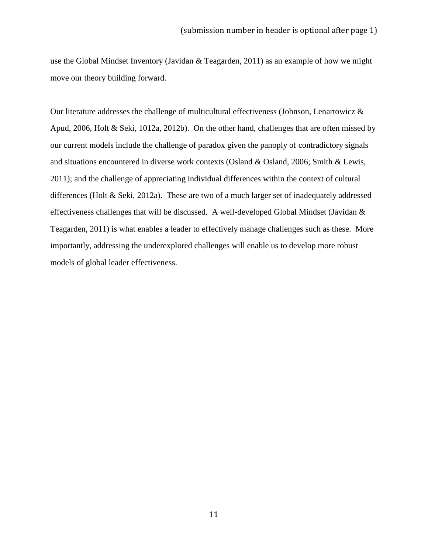use the Global Mindset Inventory (Javidan & Teagarden, 2011) as an example of how we might move our theory building forward.

Our literature addresses the challenge of multicultural effectiveness (Johnson, Lenartowicz & Apud, 2006, Holt & Seki, 1012a, 2012b). On the other hand, challenges that are often missed by our current models include the challenge of paradox given the panoply of contradictory signals and situations encountered in diverse work contexts (Osland & Osland, 2006; Smith & Lewis, 2011); and the challenge of appreciating individual differences within the context of cultural differences (Holt & Seki, 2012a). These are two of a much larger set of inadequately addressed effectiveness challenges that will be discussed. A well-developed Global Mindset (Javidan & Teagarden, 2011) is what enables a leader to effectively manage challenges such as these. More importantly, addressing the underexplored challenges will enable us to develop more robust models of global leader effectiveness.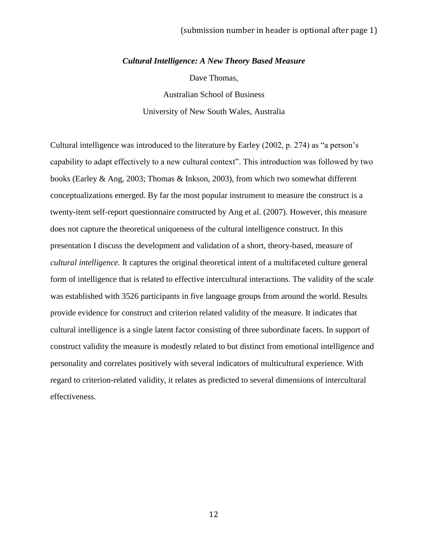# (submission number in header is optional after page 1)

#### *Cultural Intelligence: A New Theory Based Measure*

Dave Thomas,

Australian School of Business University of New South Wales, Australia

Cultural intelligence was introduced to the literature by Earley (2002, p. 274) as "a person's capability to adapt effectively to a new cultural context". This introduction was followed by two books (Earley & Ang, 2003; Thomas & Inkson, 2003), from which two somewhat different conceptualizations emerged. By far the most popular instrument to measure the construct is a twenty-item self-report questionnaire constructed by Ang et al. (2007). However, this measure does not capture the theoretical uniqueness of the cultural intelligence construct. In this presentation I discuss the development and validation of a short, theory-based, measure of *cultural intelligence.* It captures the original theoretical intent of a multifaceted culture general form of intelligence that is related to effective intercultural interactions. The validity of the scale was established with 3526 participants in five language groups from around the world. Results provide evidence for construct and criterion related validity of the measure. It indicates that cultural intelligence is a single latent factor consisting of three subordinate facets. In support of construct validity the measure is modestly related to but distinct from emotional intelligence and personality and correlates positively with several indicators of multicultural experience. With regard to criterion-related validity, it relates as predicted to several dimensions of intercultural effectiveness.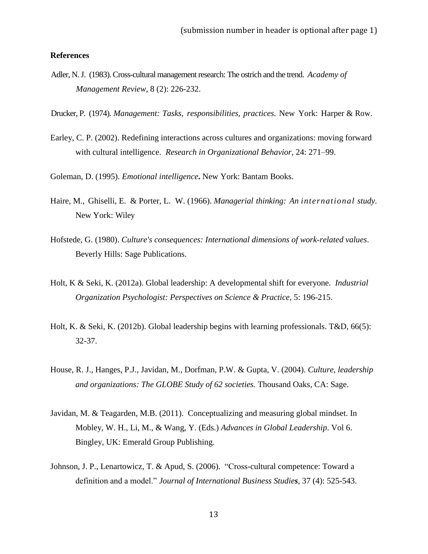## **References**

- Adler, N.J. (1983).Cross-cultural management research: The ostrich and the trend. *Academy of Management Review*, 8 (2): 226-232.
- Drucker, P. (1974). *Management: Tasks, responsibilities, practices.* New York: Harper & Row.
- Earley, C. P. (2002). Redefining interactions across cultures and organizations: moving forward with cultural intelligence. *Research in Organizational Behavior,* 24: 271–99.
- Goleman, D. (1995). *Emotional intelligence***.** New York: Bantam Books.
- Haire, M., Ghiselli, E. & Porter, L. W. (1966). *Managerial thinking: An international study.* New York: Wiley
- Hofstede, G. (1980). *Culture's consequences: International dimensions of work-related values*. Beverly Hills: Sage Publications.
- Holt, K & Seki, K. (2012a). Global leadership: A developmental shift for everyone. *Industrial Organization Psychologist: Perspectives on Science & Practice,* 5: 196-215.
- Holt, K. & Seki, K. (2012b). Global leadership begins with learning professionals. T&D, 66(5): 32-37.
- House, R. J., Hanges, P.J., Javidan, M., Dorfman, P.W. & Gupta, V. (2004). *Culture, leadership and organizations: The GLOBE Study of 62 societies.* Thousand Oaks, CA: Sage.
- Javidan, M. & Teagarden, M.B. (2011). Conceptualizing and measuring global mindset. In Mobley, W. H., Li, M., & Wang, Y. (Eds.) *Advances in Global Leadership*. Vol 6. Bingley, UK: Emerald Group Publishing.
- Johnson, J. P., Lenartowicz, T. & Apud, S. (2006). "Cross-cultural competence: Toward a definition and a model." *Journal of International Business Studies*, 37 (4): 525-543.